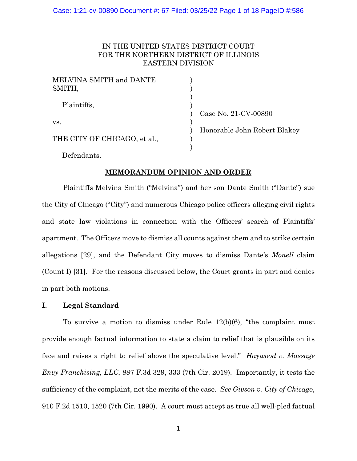### Case: 1:21-cv-00890 Document #: 67 Filed: 03/25/22 Page 1 of 18 PageID #:586

# IN THE UNITED STATES DISTRICT COURT FOR THE NORTHERN DISTRICT OF ILLINOIS EASTERN DIVISION

| MELVINA SMITH and DANTE      |                              |
|------------------------------|------------------------------|
| SMITH,                       |                              |
|                              |                              |
| Plaintiffs,                  |                              |
|                              | Case No. 21-CV-00890         |
| VS.                          |                              |
|                              | Honorable John Robert Blakey |
| THE CITY OF CHICAGO, et al., |                              |
|                              |                              |
|                              |                              |

Defendants.

### **MEMORANDUM OPINION AND ORDER**

Plaintiffs Melvina Smith ("Melvina") and her son Dante Smith ("Dante") sue the City of Chicago ("City") and numerous Chicago police officers alleging civil rights and state law violations in connection with the Officers' search of Plaintiffs' apartment. The Officers move to dismiss all counts against them and to strike certain allegations [29], and the Defendant City moves to dismiss Dante's *Monell* claim (Count I) [31]. For the reasons discussed below, the Court grants in part and denies in part both motions.

# **I. Legal Standard**

To survive a motion to dismiss under Rule 12(b)(6), "the complaint must provide enough factual information to state a claim to relief that is plausible on its face and raises a right to relief above the speculative level." *Haywood v. Massage Envy Franchising, LLC*, 887 F.3d 329, 333 (7th Cir. 2019). Importantly, it tests the sufficiency of the complaint, not the merits of the case. *See Givson v. City of Chicago*, 910 F.2d 1510, 1520 (7th Cir. 1990). A court must accept as true all well-pled factual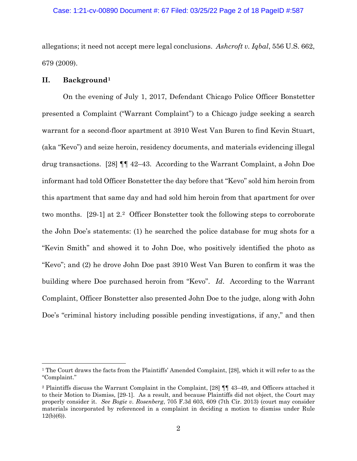# Case: 1:21-cv-00890 Document #: 67 Filed: 03/25/22 Page 2 of 18 PageID #:587

allegations; it need not accept mere legal conclusions. *Ashcroft v. Iqbal*, 556 U.S. 662, 679 (2009).

# **II. Background[1](#page-1-0)**

On the evening of July 1, 2017, Defendant Chicago Police Officer Bonstetter presented a Complaint ("Warrant Complaint") to a Chicago judge seeking a search warrant for a second-floor apartment at 3910 West Van Buren to find Kevin Stuart, (aka "Kevo") and seize heroin, residency documents, and materials evidencing illegal drug transactions. [28] ¶¶ 42–43. According to the Warrant Complaint, a John Doe informant had told Officer Bonstetter the day before that "Kevo" sold him heroin from this apartment that same day and had sold him heroin from that apartment for over two months. [29-1] at 2.[2](#page-1-1) Officer Bonstetter took the following steps to corroborate the John Doe's statements: (1) he searched the police database for mug shots for a "Kevin Smith" and showed it to John Doe, who positively identified the photo as "Kevo"; and (2) he drove John Doe past 3910 West Van Buren to confirm it was the building where Doe purchased heroin from "Kevo". *Id*. According to the Warrant Complaint, Officer Bonstetter also presented John Doe to the judge, along with John Doe's "criminal history including possible pending investigations, if any," and then

<span id="page-1-0"></span><sup>1</sup> The Court draws the facts from the Plaintiffs' Amended Complaint, [28], which it will refer to as the "Complaint."

<span id="page-1-1"></span><sup>2</sup> Plaintiffs discuss the Warrant Complaint in the Complaint, [28] ¶¶ 43–49, and Officers attached it to their Motion to Dismiss, [29-1]. As a result, and because Plaintiffs did not object, the Court may properly consider it. *See Bogie v. Rosenberg*, 705 F.3d 603, 609 (7th Cir. 2013) (court may consider materials incorporated by referenced in a complaint in deciding a motion to dismiss under Rule  $12(b)(6)$ ).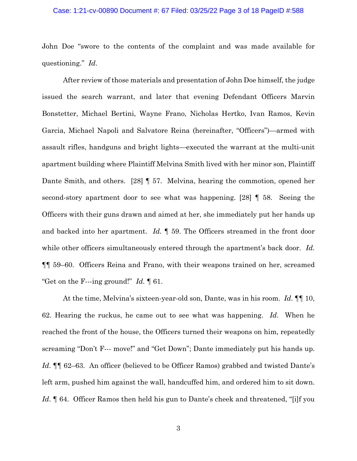#### Case: 1:21-cv-00890 Document #: 67 Filed: 03/25/22 Page 3 of 18 PageID #:588

John Doe "swore to the contents of the complaint and was made available for questioning." *Id*.

After review of those materials and presentation of John Doe himself, the judge issued the search warrant, and later that evening Defendant Officers Marvin Bonstetter, Michael Bertini, Wayne Frano, Nicholas Hertko, Ivan Ramos, Kevin Garcia, Michael Napoli and Salvatore Reina (hereinafter, "Officers")—armed with assault rifles, handguns and bright lights—executed the warrant at the multi-unit apartment building where Plaintiff Melvina Smith lived with her minor son, Plaintiff Dante Smith, and others. [28] ¶ 57. Melvina, hearing the commotion, opened her second-story apartment door to see what was happening. [28] ¶ 58. Seeing the Officers with their guns drawn and aimed at her, she immediately put her hands up and backed into her apartment. *Id.* ¶ 59. The Officers streamed in the front door while other officers simultaneously entered through the apartment's back door. *Id.* ¶¶ 59–60. Officers Reina and Frano, with their weapons trained on her, screamed "Get on the F---ing ground!" *Id.* ¶ 61.

At the time, Melvina's sixteen-year-old son, Dante, was in his room. *Id*. ¶¶ 10, 62. Hearing the ruckus, he came out to see what was happening. *Id*. When he reached the front of the house, the Officers turned their weapons on him, repeatedly screaming "Don't F--- move!" and "Get Down"; Dante immediately put his hands up. Id. **[1]** 62–63. An officer (believed to be Officer Ramos) grabbed and twisted Dante's left arm, pushed him against the wall, handcuffed him, and ordered him to sit down. *Id*. ¶ 64. Officer Ramos then held his gun to Dante's cheek and threatened, "[i]f you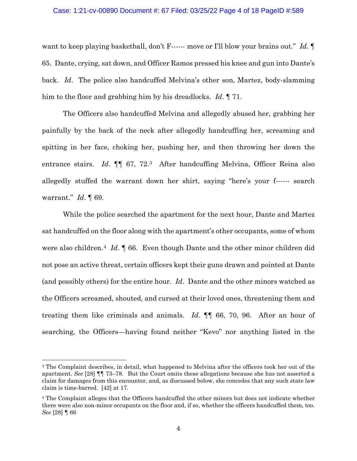# Case: 1:21-cv-00890 Document #: 67 Filed: 03/25/22 Page 4 of 18 PageID #:589

want to keep playing basketball, don't F------ move or I'll blow your brains out." *Id*. 65. Dante, crying, sat down, and Officer Ramos pressed his knee and gun into Dante's back. *Id*. The police also handcuffed Melvina's other son, Martez, body-slamming him to the floor and grabbing him by his dreadlocks. *Id*. ¶ 71.

The Officers also handcuffed Melvina and allegedly abused her, grabbing her painfully by the back of the neck after allegedly handcuffing her, screaming and spitting in her face, choking her, pushing her, and then throwing her down the entrance stairs. *Id.*  $\P\P$  67, 72.<sup>3</sup> After handcuffing Melvina, Officer Reina also allegedly stuffed the warrant down her shirt, saying "here's your f------ search warrant." *Id*. ¶ 69.

While the police searched the apartment for the next hour, Dante and Martez sat handcuffed on the floor along with the apartment's other occupants, some of whom were also children.[4](#page-3-1) *Id*. ¶ 66. Even though Dante and the other minor children did not pose an active threat, certain officers kept their guns drawn and pointed at Dante (and possibly others) for the entire hour. *Id*. Dante and the other minors watched as the Officers screamed, shouted, and cursed at their loved ones, threatening them and treating them like criminals and animals. *Id*. ¶¶ 66, 70, 96. After an hour of searching, the Officers—having found neither "Kevo" nor anything listed in the

<span id="page-3-0"></span><sup>&</sup>lt;sup>3</sup> The Complaint describes, in detail, what happened to Melvina after the officers took her out of the apartment. *See* [28] ¶¶ 73–78. But the Court omits these allegations because she has not asserted a claim for damages from this encounter, and, as discussed below, she concedes that any such state law claim is time-barred. [42] at 17.

<span id="page-3-1"></span><sup>4</sup> The Complaint alleges that the Officers handcuffed the other minors but does not indicate whether there were also non-minor occupants on the floor and, if so, whether the officers handcuffed them, too. *See* [28] ¶ 66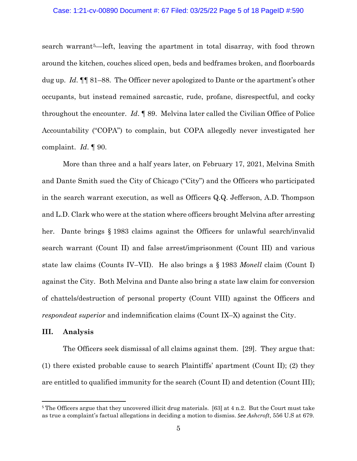# Case: 1:21-cv-00890 Document #: 67 Filed: 03/25/22 Page 5 of 18 PageID #:590

search warrant[5](#page-4-0)—left, leaving the apartment in total disarray, with food thrown around the kitchen, couches sliced open, beds and bedframes broken, and floorboards dug up. *Id*. ¶¶ 81–88. The Officer never apologized to Dante or the apartment's other occupants, but instead remained sarcastic, rude, profane, disrespectful, and cocky throughout the encounter. *Id*. ¶ 89. Melvina later called the Civilian Office of Police Accountability ("COPA") to complain, but COPA allegedly never investigated her complaint. *Id*. ¶ 90.

More than three and a half years later, on February 17, 2021, Melvina Smith and Dante Smith sued the City of Chicago ("City") and the Officers who participated in the search warrant execution, as well as Officers Q.Q. Jefferson, A.D. Thompson and L.D. Clark who were at the station where officers brought Melvina after arresting her. Dante brings § 1983 claims against the Officers for unlawful search/invalid search warrant (Count II) and false arrest/imprisonment (Count III) and various state law claims (Counts IV–VII). He also brings a § 1983 *Monell* claim (Count I) against the City. Both Melvina and Dante also bring a state law claim for conversion of chattels/destruction of personal property (Count VIII) against the Officers and *respondeat superior* and indemnification claims (Count IX–X) against the City.

#### **III. Analysis**

The Officers seek dismissal of all claims against them. [29]. They argue that: (1) there existed probable cause to search Plaintiffs' apartment (Count II); (2) they are entitled to qualified immunity for the search (Count II) and detention (Count III);

<span id="page-4-0"></span><sup>5</sup> The Officers argue that they uncovered illicit drug materials. [63] at 4 n.2. But the Court must take as true a complaint's factual allegations in deciding a motion to dismiss. *See Ashcroft*, 556 U.S at 679.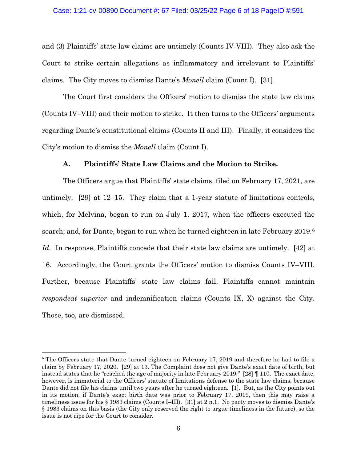#### Case: 1:21-cv-00890 Document #: 67 Filed: 03/25/22 Page 6 of 18 PageID #:591

and (3) Plaintiffs' state law claims are untimely (Counts IV-VIII). They also ask the Court to strike certain allegations as inflammatory and irrelevant to Plaintiffs' claims. The City moves to dismiss Dante's *Monell* claim (Count I). [31].

The Court first considers the Officers' motion to dismiss the state law claims (Counts IV–VIII) and their motion to strike. It then turns to the Officers' arguments regarding Dante's constitutional claims (Counts II and III). Finally, it considers the City's motion to dismiss the *Monell* claim (Count I).

### **A. Plaintiffs' State Law Claims and the Motion to Strike.**

The Officers argue that Plaintiffs' state claims, filed on February 17, 2021, are untimely. [29] at 12–15. They claim that a 1-year statute of limitations controls, which, for Melvina, began to run on July 1, 2017, when the officers executed the search; and, for Dante, began to run when he turned eighteen in late February 2019.[6](#page-5-0) *Id*. In response, Plaintiffs concede that their state law claims are untimely. [42] at 16. Accordingly, the Court grants the Officers' motion to dismiss Counts IV–VIII. Further, because Plaintiffs' state law claims fail, Plaintiffs cannot maintain *respondeat superior* and indemnification claims (Counts IX, X) against the City. Those, too, are dismissed.

<span id="page-5-0"></span><sup>&</sup>lt;sup>6</sup> The Officers state that Dante turned eighteen on February 17, 2019 and therefore he had to file a claim by February 17, 2020. [29] at 13. The Complaint does not give Dante's exact date of birth, but instead states that he "reached the age of majority in late February 2019." [28] ¶ 110. The exact date, however, is immaterial to the Officers' statute of limitations defense to the state law claims, because Dante did not file his claims until two years after he turned eighteen. [1]. But, as the City points out in its motion, if Dante's exact birth date was prior to February 17, 2019, then this may raise a timeliness issue for his § 1983 claims (Counts I–III). [31] at 2 n.1. No party moves to dismiss Dante's § 1983 claims on this basis (the City only reserved the right to argue timeliness in the future), so the issue is not ripe for the Court to consider.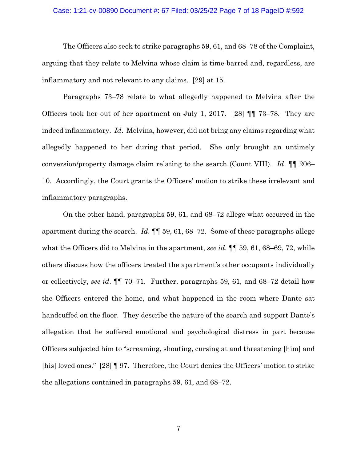# Case: 1:21-cv-00890 Document #: 67 Filed: 03/25/22 Page 7 of 18 PageID #:592

The Officers also seek to strike paragraphs 59, 61, and 68–78 of the Complaint, arguing that they relate to Melvina whose claim is time-barred and, regardless, are inflammatory and not relevant to any claims. [29] at 15.

Paragraphs 73–78 relate to what allegedly happened to Melvina after the Officers took her out of her apartment on July 1, 2017. [28] ¶¶ 73–78. They are indeed inflammatory. *Id*. Melvina, however, did not bring any claims regarding what allegedly happened to her during that period. She only brought an untimely conversion/property damage claim relating to the search (Count VIII). *Id*. ¶¶ 206– 10. Accordingly, the Court grants the Officers' motion to strike these irrelevant and inflammatory paragraphs.

On the other hand, paragraphs 59, 61, and 68–72 allege what occurred in the apartment during the search. *Id*. ¶¶ 59, 61, 68–72. Some of these paragraphs allege what the Officers did to Melvina in the apartment, *see id.*  $\P$  59, 61, 68–69, 72, while others discuss how the officers treated the apartment's other occupants individually or collectively, *see id*. ¶¶ 70–71. Further, paragraphs 59, 61, and 68–72 detail how the Officers entered the home, and what happened in the room where Dante sat handcuffed on the floor. They describe the nature of the search and support Dante's allegation that he suffered emotional and psychological distress in part because Officers subjected him to "screaming, shouting, cursing at and threatening [him] and [his] loved ones." [28] ¶ 97. Therefore, the Court denies the Officers' motion to strike the allegations contained in paragraphs 59, 61, and 68–72.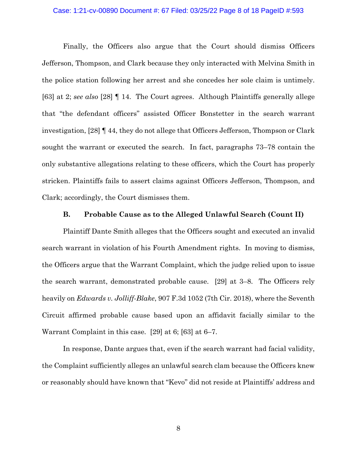#### Case: 1:21-cv-00890 Document #: 67 Filed: 03/25/22 Page 8 of 18 PageID #:593

Finally, the Officers also argue that the Court should dismiss Officers Jefferson, Thompson, and Clark because they only interacted with Melvina Smith in the police station following her arrest and she concedes her sole claim is untimely. [63] at 2; *see also* [28] ¶ 14. The Court agrees. Although Plaintiffs generally allege that "the defendant officers" assisted Officer Bonstetter in the search warrant investigation, [28] ¶ 44, they do not allege that Officers Jefferson, Thompson or Clark sought the warrant or executed the search. In fact, paragraphs 73–78 contain the only substantive allegations relating to these officers, which the Court has properly stricken. Plaintiffs fails to assert claims against Officers Jefferson, Thompson, and Clark; accordingly, the Court dismisses them.

# **B. Probable Cause as to the Alleged Unlawful Search (Count II)**

Plaintiff Dante Smith alleges that the Officers sought and executed an invalid search warrant in violation of his Fourth Amendment rights. In moving to dismiss, the Officers argue that the Warrant Complaint, which the judge relied upon to issue the search warrant, demonstrated probable cause. [29] at 3–8. The Officers rely heavily on *Edwards v. Jolliff-Blake*, 907 F.3d 1052 (7th Cir. 2018), where the Seventh Circuit affirmed probable cause based upon an affidavit facially similar to the Warrant Complaint in this case. [29] at 6; [63] at 6–7.

In response, Dante argues that, even if the search warrant had facial validity, the Complaint sufficiently alleges an unlawful search clam because the Officers knew or reasonably should have known that "Kevo" did not reside at Plaintiffs' address and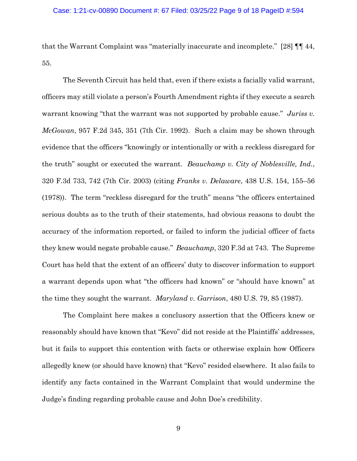that the Warrant Complaint was "materially inaccurate and incomplete." [28] ¶¶ 44, 55.

The Seventh Circuit has held that, even if there exists a facially valid warrant, officers may still violate a person's Fourth Amendment rights if they execute a search warrant knowing "that the warrant was not supported by probable cause." *Juriss v. McGowan*, 957 F.2d 345, 351 (7th Cir. 1992). Such a claim may be shown through evidence that the officers "knowingly or intentionally or with a reckless disregard for the truth" sought or executed the warrant. *Beauchamp v. City of Noblesville, Ind.*, 320 F.3d 733, 742 (7th Cir. 2003) (citing *Franks v. Delaware*, 438 U.S. 154, 155–56 (1978)). The term "reckless disregard for the truth" means "the officers entertained serious doubts as to the truth of their statements, had obvious reasons to doubt the accuracy of the information reported, or failed to inform the judicial officer of facts they knew would negate probable cause." *Beauchamp*, 320 F.3d at 743. The Supreme Court has held that the extent of an officers' duty to discover information to support a warrant depends upon what "the officers had known" or "should have known" at the time they sought the warrant. *Maryland v. Garrison*, 480 U.S. 79, 85 (1987).

The Complaint here makes a conclusory assertion that the Officers knew or reasonably should have known that "Kevo" did not reside at the Plaintiffs' addresses, but it fails to support this contention with facts or otherwise explain how Officers allegedly knew (or should have known) that "Kevo" resided elsewhere. It also fails to identify any facts contained in the Warrant Complaint that would undermine the Judge's finding regarding probable cause and John Doe's credibility.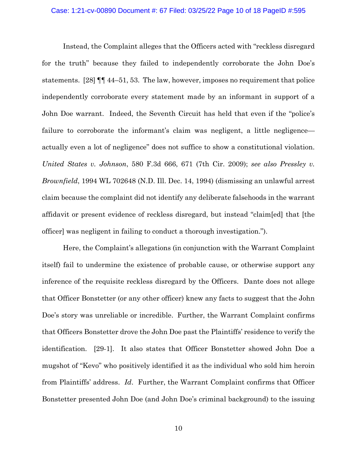#### Case: 1:21-cv-00890 Document #: 67 Filed: 03/25/22 Page 10 of 18 PageID #:595

Instead, the Complaint alleges that the Officers acted with "reckless disregard for the truth" because they failed to independently corroborate the John Doe's statements. [28] ¶¶ 44–51, 53. The law, however, imposes no requirement that police independently corroborate every statement made by an informant in support of a John Doe warrant. Indeed, the Seventh Circuit has held that even if the "police's failure to corroborate the informant's claim was negligent, a little negligence actually even a lot of negligence" does not suffice to show a constitutional violation. *United States v. Johnson*, 580 F.3d 666, 671 (7th Cir. 2009); *see also Pressley v. Brownfield*, 1994 WL 702648 (N.D. Ill. Dec. 14, 1994) (dismissing an unlawful arrest claim because the complaint did not identify any deliberate falsehoods in the warrant affidavit or present evidence of reckless disregard, but instead "claim[ed] that [the officer] was negligent in failing to conduct a thorough investigation.").

Here, the Complaint's allegations (in conjunction with the Warrant Complaint itself) fail to undermine the existence of probable cause, or otherwise support any inference of the requisite reckless disregard by the Officers. Dante does not allege that Officer Bonstetter (or any other officer) knew any facts to suggest that the John Doe's story was unreliable or incredible. Further, the Warrant Complaint confirms that Officers Bonstetter drove the John Doe past the Plaintiffs' residence to verify the identification. [29-1]. It also states that Officer Bonstetter showed John Doe a mugshot of "Kevo" who positively identified it as the individual who sold him heroin from Plaintiffs' address. *Id*. Further, the Warrant Complaint confirms that Officer Bonstetter presented John Doe (and John Doe's criminal background) to the issuing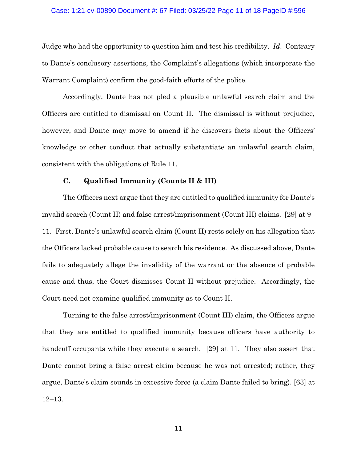#### Case: 1:21-cv-00890 Document #: 67 Filed: 03/25/22 Page 11 of 18 PageID #:596

Judge who had the opportunity to question him and test his credibility. *Id*. Contrary to Dante's conclusory assertions, the Complaint's allegations (which incorporate the Warrant Complaint) confirm the good-faith efforts of the police.

Accordingly, Dante has not pled a plausible unlawful search claim and the Officers are entitled to dismissal on Count II. The dismissal is without prejudice, however, and Dante may move to amend if he discovers facts about the Officers' knowledge or other conduct that actually substantiate an unlawful search claim, consistent with the obligations of Rule 11.

### **C. Qualified Immunity (Counts II & III)**

The Officers next argue that they are entitled to qualified immunity for Dante's invalid search (Count II) and false arrest/imprisonment (Count III) claims. [29] at 9– 11. First, Dante's unlawful search claim (Count II) rests solely on his allegation that the Officers lacked probable cause to search his residence. As discussed above, Dante fails to adequately allege the invalidity of the warrant or the absence of probable cause and thus, the Court dismisses Count II without prejudice. Accordingly, the Court need not examine qualified immunity as to Count II.

Turning to the false arrest/imprisonment (Count III) claim, the Officers argue that they are entitled to qualified immunity because officers have authority to handcuff occupants while they execute a search. [29] at 11. They also assert that Dante cannot bring a false arrest claim because he was not arrested; rather, they argue, Dante's claim sounds in excessive force (a claim Dante failed to bring). [63] at 12–13.

11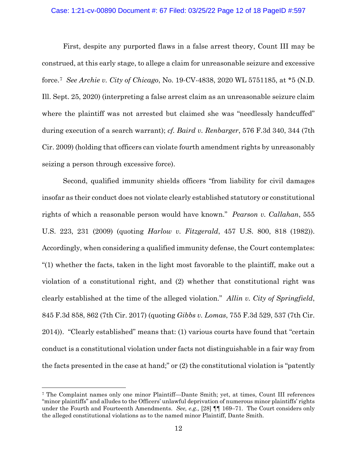# Case: 1:21-cv-00890 Document #: 67 Filed: 03/25/22 Page 12 of 18 PageID #:597

First, despite any purported flaws in a false arrest theory, Count III may be construed, at this early stage, to allege a claim for unreasonable seizure and excessive force[.7](#page-11-0) *See Archie v. City of Chicago*, No. 19-CV-4838, 2020 WL 5751185, at \*5 (N.D. Ill. Sept. 25, 2020) (interpreting a false arrest claim as an unreasonable seizure claim where the plaintiff was not arrested but claimed she was "needlessly handcuffed" during execution of a search warrant); *cf. Baird v. Renbarger*, 576 F.3d 340, 344 (7th Cir. 2009) (holding that officers can violate fourth amendment rights by unreasonably seizing a person through excessive force).

Second, qualified immunity shields officers "from liability for civil damages insofar as their conduct does not violate clearly established statutory or constitutional rights of which a reasonable person would have known." *Pearson v. Callahan*, 555 U.S. 223, 231 (2009) (quoting *Harlow v. Fitzgerald*, 457 U.S. 800, 818 (1982)). Accordingly, when considering a qualified immunity defense, the Court contemplates: "(1) whether the facts, taken in the light most favorable to the plaintiff, make out a violation of a constitutional right, and (2) whether that constitutional right was clearly established at the time of the alleged violation." *Allin v. City of Springfield*, 845 F.3d 858, 862 (7th Cir. 2017) (quoting *Gibbs v. Lomas*, 755 F.3d 529, 537 (7th Cir. 2014)). "Clearly established" means that: (1) various courts have found that "certain conduct is a constitutional violation under facts not distinguishable in a fair way from the facts presented in the case at hand;" or (2) the constitutional violation is "patently

<span id="page-11-0"></span><sup>7</sup> The Complaint names only one minor Plaintiff—Dante Smith; yet, at times, Count III references "minor plaintiffs" and alludes to the Officers' unlawful deprivation of numerous minor plaintiffs' rights under the Fourth and Fourteenth Amendments. *See, e.g.,* [28] ¶¶ 169–71. The Court considers only the alleged constitutional violations as to the named minor Plaintiff, Dante Smith.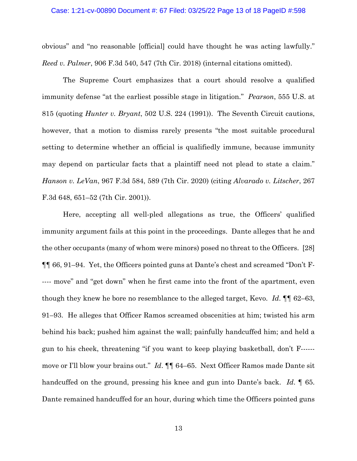#### Case: 1:21-cv-00890 Document #: 67 Filed: 03/25/22 Page 13 of 18 PageID #:598

obvious" and "no reasonable [official] could have thought he was acting lawfully." *Reed v. Palmer*, 906 F.3d 540, 547 (7th Cir. 2018) (internal citations omitted).

The Supreme Court emphasizes that a court should resolve a qualified immunity defense "at the earliest possible stage in litigation." *Pearson*, 555 U.S. at 815 (quoting *Hunter v. Bryant*, 502 U.S. 224 (1991)). The Seventh Circuit cautions, however, that a motion to dismiss rarely presents "the most suitable procedural setting to determine whether an official is qualifiedly immune, because immunity may depend on particular facts that a plaintiff need not plead to state a claim." *Hanson v. LeVan*, 967 F.3d 584, 589 (7th Cir. 2020) (citing *Alvarado v. Litscher*, 267 F.3d 648, 651–52 (7th Cir. 2001)).

Here, accepting all well-pled allegations as true, the Officers' qualified immunity argument fails at this point in the proceedings. Dante alleges that he and the other occupants (many of whom were minors) posed no threat to the Officers. [28] ¶¶ 66, 91–94. Yet, the Officers pointed guns at Dante's chest and screamed "Don't F- ---- move" and "get down" when he first came into the front of the apartment, even though they knew he bore no resemblance to the alleged target, Kevo. *Id*. ¶¶ 62–63, 91–93. He alleges that Officer Ramos screamed obscenities at him; twisted his arm behind his back; pushed him against the wall; painfully handcuffed him; and held a gun to his cheek, threatening "if you want to keep playing basketball, don't F----- move or I'll blow your brains out." *Id*. ¶¶ 64–65. Next Officer Ramos made Dante sit handcuffed on the ground, pressing his knee and gun into Dante's back. *Id*. ¶ 65. Dante remained handcuffed for an hour, during which time the Officers pointed guns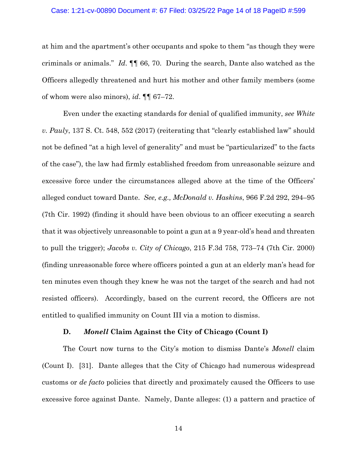#### Case: 1:21-cv-00890 Document #: 67 Filed: 03/25/22 Page 14 of 18 PageID #:599

at him and the apartment's other occupants and spoke to them "as though they were criminals or animals." *Id*. ¶¶ 66, 70. During the search, Dante also watched as the Officers allegedly threatened and hurt his mother and other family members (some of whom were also minors), *id*. ¶¶ 67–72.

Even under the exacting standards for denial of qualified immunity, *see White v. Pauly*, 137 S. Ct. 548, 552 (2017) (reiterating that "clearly established law" should not be defined "at a high level of generality" and must be "particularized" to the facts of the case"), the law had firmly established freedom from unreasonable seizure and excessive force under the circumstances alleged above at the time of the Officers' alleged conduct toward Dante. *See, e.g., McDonald v. Haskins*, 966 F.2d 292, 294–95 (7th Cir. 1992) (finding it should have been obvious to an officer executing a search that it was objectively unreasonable to point a gun at a 9 year-old's head and threaten to pull the trigger); *Jacobs v. City of Chicago*, 215 F.3d 758, 773–74 (7th Cir. 2000) (finding unreasonable force where officers pointed a gun at an elderly man's head for ten minutes even though they knew he was not the target of the search and had not resisted officers). Accordingly, based on the current record, the Officers are not entitled to qualified immunity on Count III via a motion to dismiss.

#### **D.** *Monell* **Claim Against the City of Chicago (Count I)**

The Court now turns to the City's motion to dismiss Dante's *Monell* claim (Count I). [31]. Dante alleges that the City of Chicago had numerous widespread customs or *de facto* policies that directly and proximately caused the Officers to use excessive force against Dante. Namely, Dante alleges: (1) a pattern and practice of

14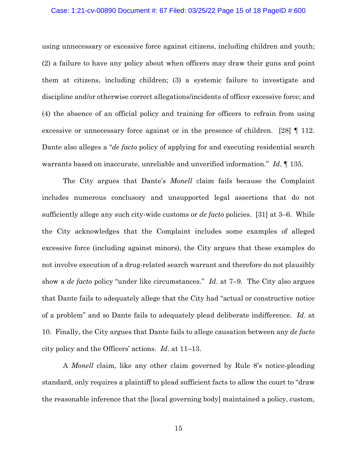# Case: 1:21-cv-00890 Document #: 67 Filed: 03/25/22 Page 15 of 18 PageID #:600

using unnecessary or excessive force against citizens, including children and youth; (2) a failure to have any policy about when officers may draw their guns and point them at citizens, including children; (3) a systemic failure to investigate and discipline and/or otherwise correct allegations/incidents of officer excessive force; and (4) the absence of an official policy and training for officers to refrain from using excessive or unnecessary force against or in the presence of children. [28]  $\parallel$  112. Dante also alleges a "*de facto* policy of applying for and executing residential search warrants based on inaccurate, unreliable and unverified information." *Id*. ¶ 135.

The City argues that Dante's *Monell* claim fails because the Complaint includes numerous conclusory and unsupported legal assertions that do not sufficiently allege any such city-wide customs or *de facto* policies. [31] at 3–6. While the City acknowledges that the Complaint includes some examples of alleged excessive force (including against minors), the City argues that these examples do not involve execution of a drug-related search warrant and therefore do not plausibly show a *de facto* policy "under like circumstances." *Id*. at 7–9. The City also argues that Dante fails to adequately allege that the City had "actual or constructive notice of a problem" and so Dante fails to adequately plead deliberate indifference. *Id*. at 10. Finally, the City argues that Dante fails to allege causation between any *de facto*  city policy and the Officers' actions. *Id*. at 11–13.

A *Monell* claim, like any other claim governed by Rule 8's notice-pleading standard, only requires a plaintiff to plead sufficient facts to allow the court to "draw the reasonable inference that the [local governing body] maintained a policy, custom,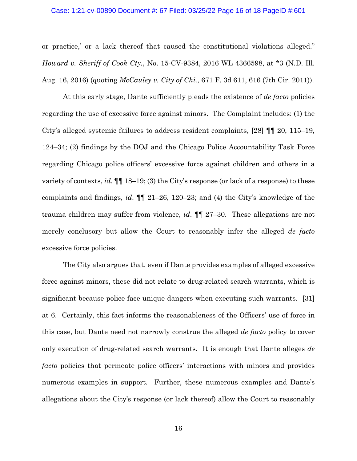#### Case: 1:21-cv-00890 Document #: 67 Filed: 03/25/22 Page 16 of 18 PageID #:601

or practice,' or a lack thereof that caused the constitutional violations alleged." *Howard v. Sheriff of Cook Cty.*, No. 15-CV-9384, 2016 WL 4366598, at \*3 (N.D. Ill. Aug. 16, 2016) (quoting *McCauley v. City of Chi.*, 671 F. 3d 611, 616 (7th Cir. 2011)).

At this early stage, Dante sufficiently pleads the existence of *de facto* policies regarding the use of excessive force against minors. The Complaint includes: (1) the City's alleged systemic failures to address resident complaints, [28] ¶¶ 20, 115–19, 124–34; (2) findings by the DOJ and the Chicago Police Accountability Task Force regarding Chicago police officers' excessive force against children and others in a variety of contexts, *id*. ¶¶ 18–19; (3) the City's response (or lack of a response) to these complaints and findings, *id*. ¶¶ 21–26, 120–23; and (4) the City's knowledge of the trauma children may suffer from violence, *id*. ¶¶ 27–30. These allegations are not merely conclusory but allow the Court to reasonably infer the alleged *de facto*  excessive force policies.

The City also argues that, even if Dante provides examples of alleged excessive force against minors, these did not relate to drug-related search warrants, which is significant because police face unique dangers when executing such warrants. [31] at 6. Certainly, this fact informs the reasonableness of the Officers' use of force in this case, but Dante need not narrowly construe the alleged *de facto* policy to cover only execution of drug-related search warrants. It is enough that Dante alleges *de facto* policies that permeate police officers' interactions with minors and provides numerous examples in support. Further, these numerous examples and Dante's allegations about the City's response (or lack thereof) allow the Court to reasonably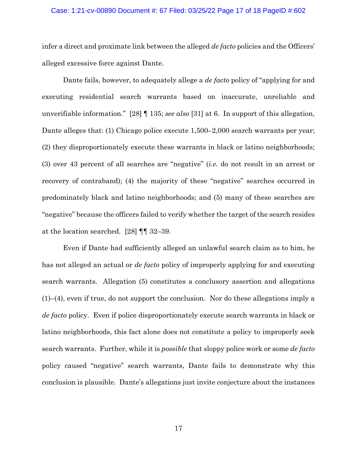# Case: 1:21-cv-00890 Document #: 67 Filed: 03/25/22 Page 17 of 18 PageID #:602

infer a direct and proximate link between the alleged *de facto* policies and the Officers' alleged excessive force against Dante.

Dante fails, however, to adequately allege a *de facto* policy of "applying for and executing residential search warrants based on inaccurate, unreliable and unverifiable information." [28] ¶ 135; *see also* [31] at 6. In support of this allegation, Dante alleges that: (1) Chicago police execute 1,500–2,000 search warrants per year; (2) they disproportionately execute these warrants in black or latino neighborhoods; (3) over 43 percent of all searches are "negative" (*i.e.* do not result in an arrest or recovery of contraband); (4) the majority of these "negative" searches occurred in predominately black and latino neighborhoods; and (5) many of these searches are "negative" because the officers failed to verify whether the target of the search resides at the location searched. [28] ¶¶ 32–39.

Even if Dante had sufficiently alleged an unlawful search claim as to him, he has not alleged an actual or *de facto* policy of improperly applying for and executing search warrants. Allegation (5) constitutes a conclusory assertion and allegations (1)–(4), even if true, do not support the conclusion. Nor do these allegations imply a *de facto* policy. Even if police disproportionately execute search warrants in black or latino neighborhoods, this fact alone does not constitute a policy to improperly seek search warrants. Further, while it is *possible* that sloppy police work or some *de facto*  policy caused "negative" search warrants, Dante fails to demonstrate why this conclusion is plausible. Dante's allegations just invite conjecture about the instances